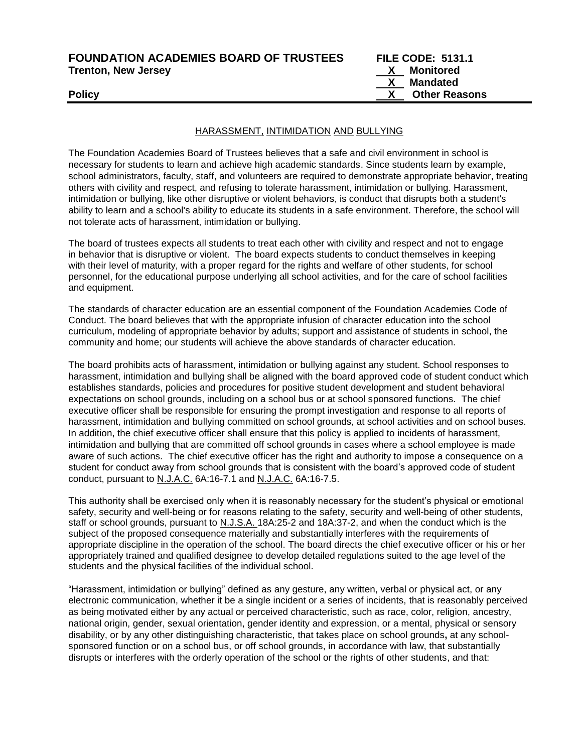| <b>FOUNDATION ACADEMIES BOARD OF TRUSTEES</b> | <b>FILE CODE: 5131.1</b>  |
|-----------------------------------------------|---------------------------|
| <b>Trenton, New Jersey</b>                    | Monitored<br>$\mathbf{X}$ |
|                                               | Mandated                  |
| <b>Policy</b>                                 | <b>Other Reasons</b>      |
|                                               |                           |

#### HARASSMENT, INTIMIDATION AND BULLYING

The Foundation Academies Board of Trustees believes that a safe and civil environment in school is necessary for students to learn and achieve high academic standards. Since students learn by example, school administrators, faculty, staff, and volunteers are required to demonstrate appropriate behavior, treating others with civility and respect, and refusing to tolerate harassment, intimidation or bullying. Harassment, intimidation or bullying, like other disruptive or violent behaviors, is conduct that disrupts both a student's ability to learn and a school's ability to educate its students in a safe environment. Therefore, the school will not tolerate acts of harassment, intimidation or bullying.

The board of trustees expects all students to treat each other with civility and respect and not to engage in behavior that is disruptive or violent. The board expects students to conduct themselves in keeping with their level of maturity, with a proper regard for the rights and welfare of other students, for school personnel, for the educational purpose underlying all school activities, and for the care of school facilities and equipment.

The standards of character education are an essential component of the Foundation Academies Code of Conduct. The board believes that with the appropriate infusion of character education into the school curriculum, modeling of appropriate behavior by adults; support and assistance of students in school, the community and home; our students will achieve the above standards of character education.

The board prohibits acts of harassment, intimidation or bullying against any student. School responses to harassment, intimidation and bullying shall be aligned with the board approved code of student conduct which establishes standards, policies and procedures for positive student development and student behavioral expectations on school grounds, including on a school bus or at school sponsored functions. The chief executive officer shall be responsible for ensuring the prompt investigation and response to all reports of harassment, intimidation and bullying committed on school grounds, at school activities and on school buses. In addition, the chief executive officer shall ensure that this policy is applied to incidents of harassment, intimidation and bullying that are committed off school grounds in cases where a school employee is made aware of such actions. The chief executive officer has the right and authority to impose a consequence on a student for conduct away from school grounds that is consistent with the board's approved code of student conduct, pursuant to N.J.A.C. 6A:16-7.1 and N.J.A.C. 6A:16-7.5.

This authority shall be exercised only when it is reasonably necessary for the student's physical or emotional safety, security and well-being or for reasons relating to the safety, security and well-being of other students, staff or school grounds, pursuant to N.J.S.A. 18A:25-2 and 18A:37-2, and when the conduct which is the subject of the proposed consequence materially and substantially interferes with the requirements of appropriate discipline in the operation of the school. The board directs the chief executive officer or his or her appropriately trained and qualified designee to develop detailed regulations suited to the age level of the students and the physical facilities of the individual school.

"Harassment, intimidation or bullying" defined as any gesture, any written, verbal or physical act, or any electronic communication, whether it be a single incident or a series of incidents, that is reasonably perceived as being motivated either by any actual or perceived characteristic, such as race, color, religion, ancestry, national origin, gender, sexual orientation, gender identity and expression, or a mental, physical or sensory disability, or by any other distinguishing characteristic, that takes place on school grounds**,** at any schoolsponsored function or on a school bus, or off school grounds, in accordance with law, that substantially disrupts or interferes with the orderly operation of the school or the rights of other students, and that: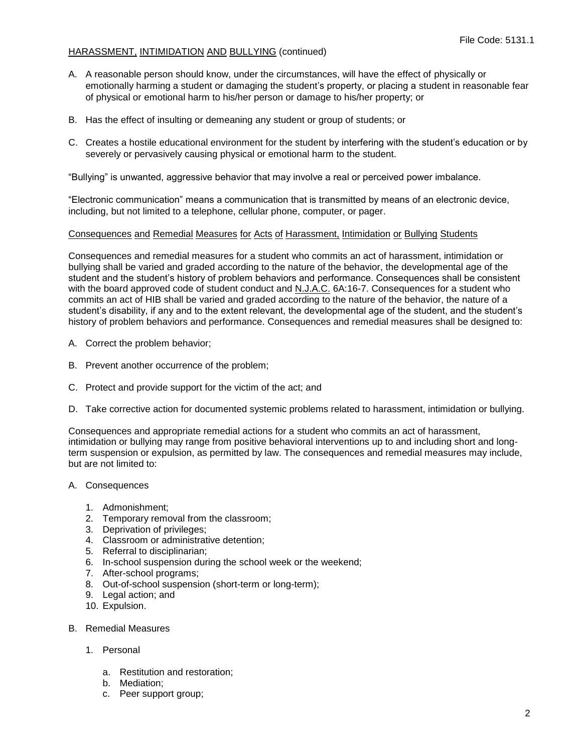- A. A reasonable person should know, under the circumstances, will have the effect of physically or emotionally harming a student or damaging the student's property, or placing a student in reasonable fear of physical or emotional harm to his/her person or damage to his/her property; or
- B. Has the effect of insulting or demeaning any student or group of students; or
- C. Creates a hostile educational environment for the student by interfering with the student's education or by severely or pervasively causing physical or emotional harm to the student.

"Bullying" is unwanted, aggressive behavior that may involve a real or perceived power imbalance.

"Electronic communication" means a communication that is transmitted by means of an electronic device, including, but not limited to a telephone, cellular phone, computer, or pager.

#### Consequences and Remedial Measures for Acts of Harassment, Intimidation or Bullying Students

Consequences and remedial measures for a student who commits an act of harassment, intimidation or bullying shall be varied and graded according to the nature of the behavior, the developmental age of the student and the student's history of problem behaviors and performance. Consequences shall be consistent with the board approved code of student conduct and N.J.A.C. 6A:16-7. Consequences for a student who commits an act of HIB shall be varied and graded according to the nature of the behavior, the nature of a student's disability, if any and to the extent relevant, the developmental age of the student, and the student's history of problem behaviors and performance. Consequences and remedial measures shall be designed to:

- A. Correct the problem behavior;
- B. Prevent another occurrence of the problem;
- C. Protect and provide support for the victim of the act; and
- D. Take corrective action for documented systemic problems related to harassment, intimidation or bullying.

Consequences and appropriate remedial actions for a student who commits an act of harassment, intimidation or bullying may range from positive behavioral interventions up to and including short and longterm suspension or expulsion, as permitted by law. The consequences and remedial measures may include, but are not limited to:

#### A. Consequences

- 1. Admonishment;
- 2. Temporary removal from the classroom;
- 3. Deprivation of privileges;
- 4. Classroom or administrative detention;
- 5. Referral to disciplinarian;
- 6. In-school suspension during the school week or the weekend;
- 7. After-school programs;
- 8. Out-of-school suspension (short-term or long-term);
- 9. Legal action; and
- 10. Expulsion.
- B. Remedial Measures
	- 1. Personal
		- a. Restitution and restoration;
		- b. Mediation;
		- c. Peer support group;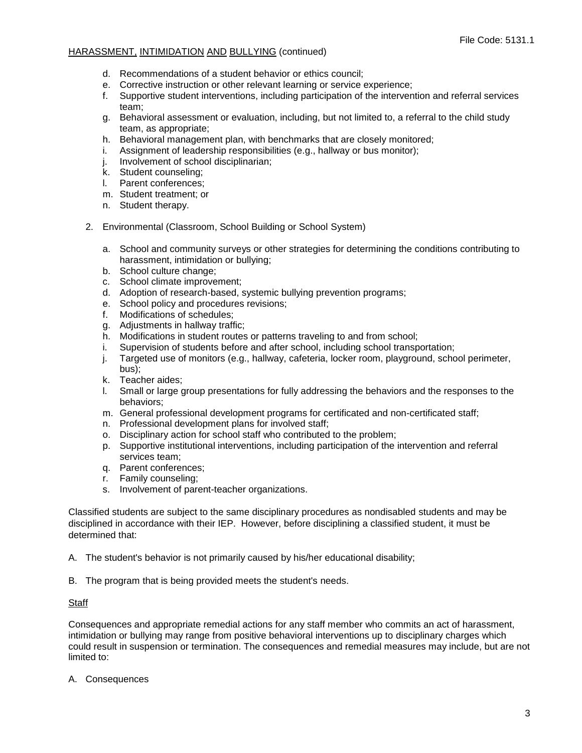- d. Recommendations of a student behavior or ethics council;
- e. Corrective instruction or other relevant learning or service experience;
- f. Supportive student interventions, including participation of the intervention and referral services team;
- g. Behavioral assessment or evaluation, including, but not limited to, a referral to the child study team, as appropriate;
- h. Behavioral management plan, with benchmarks that are closely monitored;
- i. Assignment of leadership responsibilities (e.g., hallway or bus monitor);
- j. Involvement of school disciplinarian;
- k. Student counseling;
- l. Parent conferences;
- m. Student treatment; or
- n. Student therapy.
- 2. Environmental (Classroom, School Building or School System)
	- a. School and community surveys or other strategies for determining the conditions contributing to harassment, intimidation or bullying;
	- b. School culture change;
	- c. School climate improvement;
	- d. Adoption of research-based, systemic bullying prevention programs;
	- e. School policy and procedures revisions;
	- f. Modifications of schedules;
	- g. Adjustments in hallway traffic;
	- h. Modifications in student routes or patterns traveling to and from school;
	- i. Supervision of students before and after school, including school transportation;
	- j. Targeted use of monitors (e.g., hallway, cafeteria, locker room, playground, school perimeter, bus);
	- k. Teacher aides;
	- l. Small or large group presentations for fully addressing the behaviors and the responses to the behaviors;
	- m. General professional development programs for certificated and non-certificated staff;
	- n. Professional development plans for involved staff;
	- o. Disciplinary action for school staff who contributed to the problem;
	- p. Supportive institutional interventions, including participation of the intervention and referral services team;
	- q. Parent conferences;
	- r. Family counseling;
	- s. Involvement of parent-teacher organizations.

Classified students are subject to the same disciplinary procedures as nondisabled students and may be disciplined in accordance with their IEP. However, before disciplining a classified student, it must be determined that:

A. The student's behavior is not primarily caused by his/her educational disability;

B. The program that is being provided meets the student's needs.

#### **Staff**

Consequences and appropriate remedial actions for any staff member who commits an act of harassment, intimidation or bullying may range from positive behavioral interventions up to disciplinary charges which could result in suspension or termination. The consequences and remedial measures may include, but are not limited to:

A. Consequences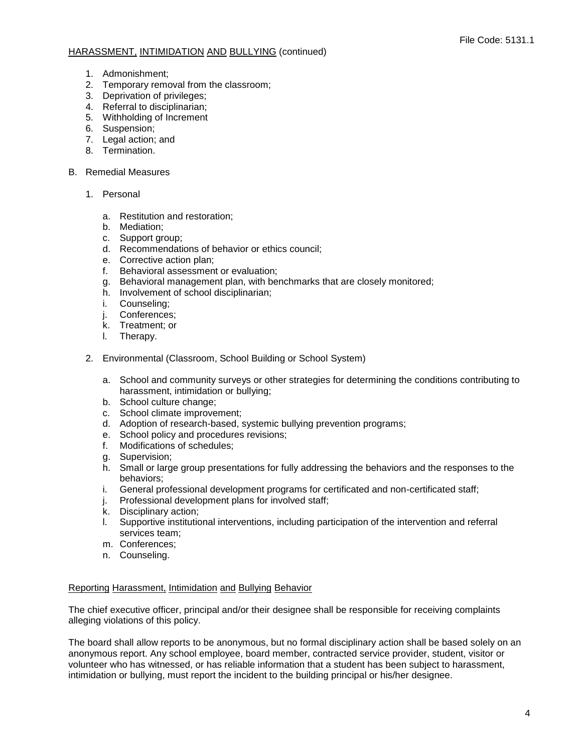- 1. Admonishment;
- 2. Temporary removal from the classroom;
- 3. Deprivation of privileges;
- 4. Referral to disciplinarian;
- 5. Withholding of Increment
- 6. Suspension;
- 7. Legal action; and
- 8. Termination.

### B. Remedial Measures

- 1. Personal
	- a. Restitution and restoration;
	- b. Mediation;
	- c. Support group;
	- d. Recommendations of behavior or ethics council;
	- e. Corrective action plan;
	- f. Behavioral assessment or evaluation;
	- g. Behavioral management plan, with benchmarks that are closely monitored;
	- h. Involvement of school disciplinarian;
	- i. Counseling;
	- j. Conferences;
	- k. Treatment; or
	- l. Therapy.
- 2. Environmental (Classroom, School Building or School System)
	- a. School and community surveys or other strategies for determining the conditions contributing to harassment, intimidation or bullying;
	- b. School culture change;
	- c. School climate improvement;
	- d. Adoption of research-based, systemic bullying prevention programs;
	- e. School policy and procedures revisions;<br>f. Modifications of schedules:
	- Modifications of schedules;
	- g. Supervision;
	- h. Small or large group presentations for fully addressing the behaviors and the responses to the behaviors;
	- i. General professional development programs for certificated and non-certificated staff;
	- j. Professional development plans for involved staff;
	- k. Disciplinary action;
	- l. Supportive institutional interventions, including participation of the intervention and referral services team;
	- m. Conferences;
	- n. Counseling.

# Reporting Harassment, Intimidation and Bullying Behavior

The chief executive officer, principal and/or their designee shall be responsible for receiving complaints alleging violations of this policy.

The board shall allow reports to be anonymous, but no formal disciplinary action shall be based solely on an anonymous report. Any school employee, board member, contracted service provider, student, visitor or volunteer who has witnessed, or has reliable information that a student has been subject to harassment, intimidation or bullying, must report the incident to the building principal or his/her designee.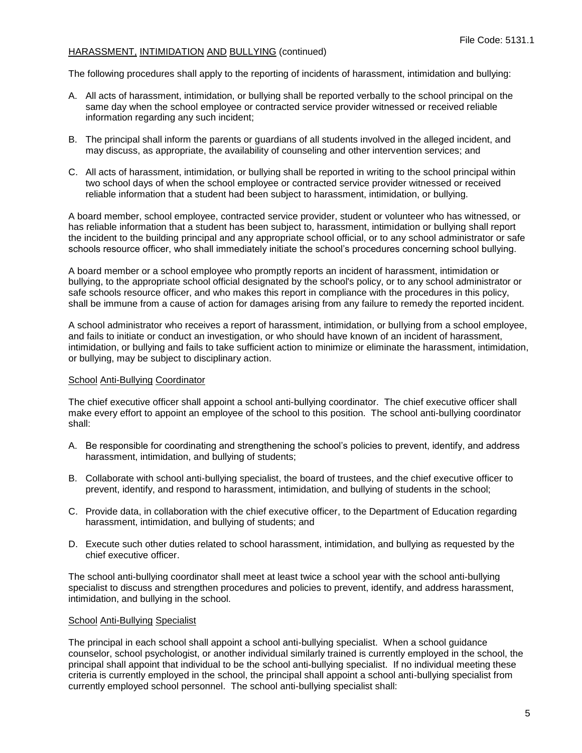The following procedures shall apply to the reporting of incidents of harassment, intimidation and bullying:

- A. All acts of harassment, intimidation, or bullying shall be reported verbally to the school principal on the same day when the school employee or contracted service provider witnessed or received reliable information regarding any such incident;
- B. The principal shall inform the parents or guardians of all students involved in the alleged incident, and may discuss, as appropriate, the availability of counseling and other intervention services; and
- C. All acts of harassment, intimidation, or bullying shall be reported in writing to the school principal within two school days of when the school employee or contracted service provider witnessed or received reliable information that a student had been subject to harassment, intimidation, or bullying.

A board member, school employee, contracted service provider, student or volunteer who has witnessed, or has reliable information that a student has been subject to, harassment, intimidation or bullying shall report the incident to the building principal and any appropriate school official, or to any school administrator or safe schools resource officer, who shall immediately initiate the school's procedures concerning school bullying.

A board member or a school employee who promptly reports an incident of harassment, intimidation or bullying, to the appropriate school official designated by the school's policy, or to any school administrator or safe schools resource officer, and who makes this report in compliance with the procedures in this policy, shall be immune from a cause of action for damages arising from any failure to remedy the reported incident.

A school administrator who receives a report of harassment, intimidation, or bullying from a school employee, and fails to initiate or conduct an investigation, or who should have known of an incident of harassment, intimidation, or bullying and fails to take sufficient action to minimize or eliminate the harassment, intimidation, or bullying, may be subject to disciplinary action.

#### School Anti-Bullying Coordinator

The chief executive officer shall appoint a school anti-bullying coordinator. The chief executive officer shall make every effort to appoint an employee of the school to this position. The school anti-bullying coordinator shall:

- A. Be responsible for coordinating and strengthening the school's policies to prevent, identify, and address harassment, intimidation, and bullying of students;
- B. Collaborate with school anti-bullying specialist, the board of trustees, and the chief executive officer to prevent, identify, and respond to harassment, intimidation, and bullying of students in the school;
- C. Provide data, in collaboration with the chief executive officer, to the Department of Education regarding harassment, intimidation, and bullying of students; and
- D. Execute such other duties related to school harassment, intimidation, and bullying as requested by the chief executive officer.

The school anti-bullying coordinator shall meet at least twice a school year with the school anti-bullying specialist to discuss and strengthen procedures and policies to prevent, identify, and address harassment, intimidation, and bullying in the school.

#### School Anti-Bullying Specialist

The principal in each school shall appoint a school anti-bullying specialist. When a school guidance counselor, school psychologist, or another individual similarly trained is currently employed in the school, the principal shall appoint that individual to be the school anti-bullying specialist. If no individual meeting these criteria is currently employed in the school, the principal shall appoint a school anti-bullying specialist from currently employed school personnel. The school anti-bullying specialist shall: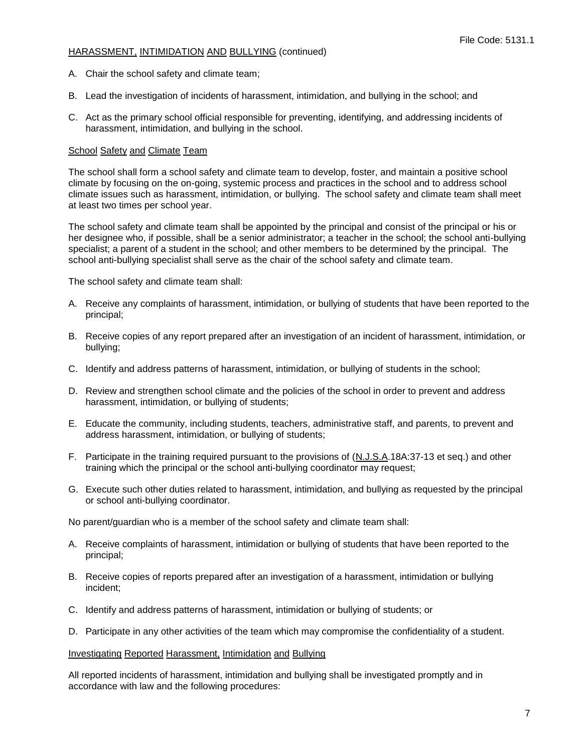- A. Chair the school safety and climate team;
- B. Lead the investigation of incidents of harassment, intimidation, and bullying in the school; and
- C. Act as the primary school official responsible for preventing, identifying, and addressing incidents of harassment, intimidation, and bullying in the school.

#### School Safety and Climate Team

The school shall form a school safety and climate team to develop, foster, and maintain a positive school climate by focusing on the on-going, systemic process and practices in the school and to address school climate issues such as harassment, intimidation, or bullying. The school safety and climate team shall meet at least two times per school year.

The school safety and climate team shall be appointed by the principal and consist of the principal or his or her designee who, if possible, shall be a senior administrator; a teacher in the school; the school anti-bullying specialist; a parent of a student in the school; and other members to be determined by the principal. The school anti-bullying specialist shall serve as the chair of the school safety and climate team.

The school safety and climate team shall:

- A. Receive any complaints of harassment, intimidation, or bullying of students that have been reported to the principal;
- B. Receive copies of any report prepared after an investigation of an incident of harassment, intimidation, or bullying;
- C. Identify and address patterns of harassment, intimidation, or bullying of students in the school;
- D. Review and strengthen school climate and the policies of the school in order to prevent and address harassment, intimidation, or bullying of students;
- E. Educate the community, including students, teachers, administrative staff, and parents, to prevent and address harassment, intimidation, or bullying of students;
- F. Participate in the training required pursuant to the provisions of (N.J.S.A.18A:37-13 et seq.) and other training which the principal or the school anti-bullying coordinator may request;
- G. Execute such other duties related to harassment, intimidation, and bullying as requested by the principal or school anti-bullying coordinator.

No parent/guardian who is a member of the school safety and climate team shall:

- A. Receive complaints of harassment, intimidation or bullying of students that have been reported to the principal;
- B. Receive copies of reports prepared after an investigation of a harassment, intimidation or bullying incident;
- C. Identify and address patterns of harassment, intimidation or bullying of students; or
- D. Participate in any other activities of the team which may compromise the confidentiality of a student.

#### Investigating Reported Harassment, Intimidation and Bullying

All reported incidents of harassment, intimidation and bullying shall be investigated promptly and in accordance with law and the following procedures: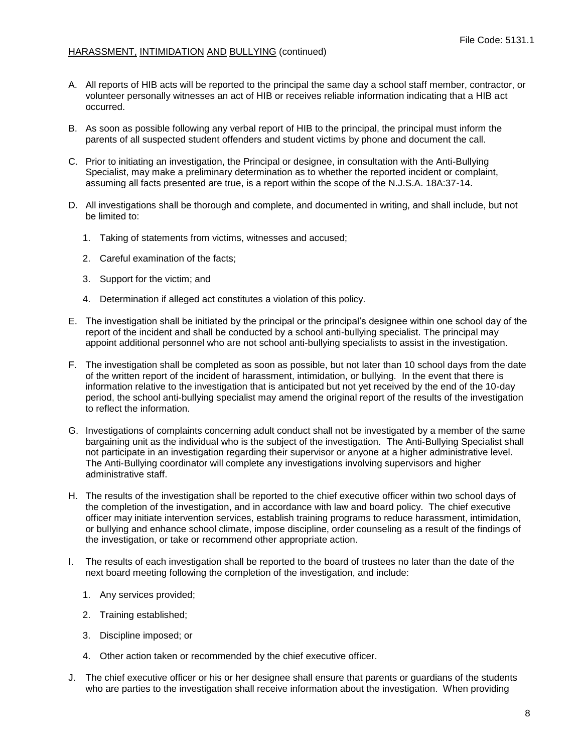- A. All reports of HIB acts will be reported to the principal the same day a school staff member, contractor, or volunteer personally witnesses an act of HIB or receives reliable information indicating that a HIB act occurred.
- B. As soon as possible following any verbal report of HIB to the principal, the principal must inform the parents of all suspected student offenders and student victims by phone and document the call.
- C. Prior to initiating an investigation, the Principal or designee, in consultation with the Anti-Bullying Specialist, may make a preliminary determination as to whether the reported incident or complaint, assuming all facts presented are true, is a report within the scope of the N.J.S.A. 18A:37-14.
- D. All investigations shall be thorough and complete, and documented in writing, and shall include, but not be limited to:
	- 1. Taking of statements from victims, witnesses and accused;
	- 2. Careful examination of the facts;
	- 3. Support for the victim; and
	- 4. Determination if alleged act constitutes a violation of this policy.
- E. The investigation shall be initiated by the principal or the principal's designee within one school day of the report of the incident and shall be conducted by a school anti-bullying specialist. The principal may appoint additional personnel who are not school anti-bullying specialists to assist in the investigation.
- F. The investigation shall be completed as soon as possible, but not later than 10 school days from the date of the written report of the incident of harassment, intimidation, or bullying. In the event that there is information relative to the investigation that is anticipated but not yet received by the end of the 10-day period, the school anti-bullying specialist may amend the original report of the results of the investigation to reflect the information.
- G. Investigations of complaints concerning adult conduct shall not be investigated by a member of the same bargaining unit as the individual who is the subject of the investigation. The Anti-Bullying Specialist shall not participate in an investigation regarding their supervisor or anyone at a higher administrative level. The Anti-Bullying coordinator will complete any investigations involving supervisors and higher administrative staff.
- H. The results of the investigation shall be reported to the chief executive officer within two school days of the completion of the investigation, and in accordance with law and board policy. The chief executive officer may initiate intervention services, establish training programs to reduce harassment, intimidation, or bullying and enhance school climate, impose discipline, order counseling as a result of the findings of the investigation, or take or recommend other appropriate action.
- I. The results of each investigation shall be reported to the board of trustees no later than the date of the next board meeting following the completion of the investigation, and include:
	- 1. Any services provided;
	- 2. Training established;
	- 3. Discipline imposed; or
	- 4. Other action taken or recommended by the chief executive officer.
- J. The chief executive officer or his or her designee shall ensure that parents or guardians of the students who are parties to the investigation shall receive information about the investigation. When providing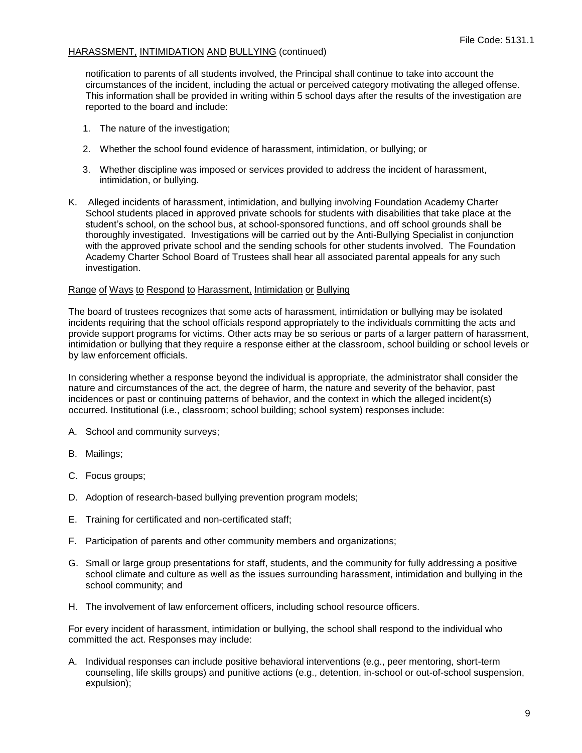notification to parents of all students involved, the Principal shall continue to take into account the circumstances of the incident, including the actual or perceived category motivating the alleged offense. This information shall be provided in writing within 5 school days after the results of the investigation are reported to the board and include:

- 1. The nature of the investigation;
- 2. Whether the school found evidence of harassment, intimidation, or bullying; or
- 3. Whether discipline was imposed or services provided to address the incident of harassment, intimidation, or bullying.
- K. Alleged incidents of harassment, intimidation, and bullying involving Foundation Academy Charter School students placed in approved private schools for students with disabilities that take place at the student's school, on the school bus, at school-sponsored functions, and off school grounds shall be thoroughly investigated. Investigations will be carried out by the Anti-Bullying Specialist in conjunction with the approved private school and the sending schools for other students involved. The Foundation Academy Charter School Board of Trustees shall hear all associated parental appeals for any such investigation.

#### Range of Ways to Respond to Harassment, Intimidation or Bullying

The board of trustees recognizes that some acts of harassment, intimidation or bullying may be isolated incidents requiring that the school officials respond appropriately to the individuals committing the acts and provide support programs for victims. Other acts may be so serious or parts of a larger pattern of harassment, intimidation or bullying that they require a response either at the classroom, school building or school levels or by law enforcement officials.

In considering whether a response beyond the individual is appropriate, the administrator shall consider the nature and circumstances of the act, the degree of harm, the nature and severity of the behavior, past incidences or past or continuing patterns of behavior, and the context in which the alleged incident(s) occurred. Institutional (i.e., classroom; school building; school system) responses include:

- A. School and community surveys;
- B. Mailings;
- C. Focus groups;
- D. Adoption of research-based bullying prevention program models;
- E. Training for certificated and non-certificated staff;
- F. Participation of parents and other community members and organizations;
- G. Small or large group presentations for staff, students, and the community for fully addressing a positive school climate and culture as well as the issues surrounding harassment, intimidation and bullying in the school community; and
- H. The involvement of law enforcement officers, including school resource officers.

For every incident of harassment, intimidation or bullying, the school shall respond to the individual who committed the act. Responses may include:

A. Individual responses can include positive behavioral interventions (e.g., peer mentoring, short-term counseling, life skills groups) and punitive actions (e.g., detention, in-school or out-of-school suspension, expulsion);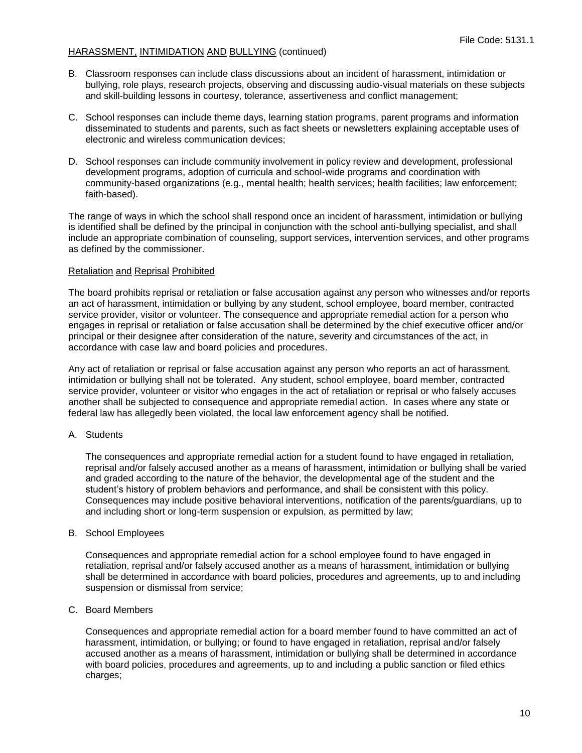- B. Classroom responses can include class discussions about an incident of harassment, intimidation or bullying, role plays, research projects, observing and discussing audio-visual materials on these subjects and skill-building lessons in courtesy, tolerance, assertiveness and conflict management;
- C. School responses can include theme days, learning station programs, parent programs and information disseminated to students and parents, such as fact sheets or newsletters explaining acceptable uses of electronic and wireless communication devices;
- D. School responses can include community involvement in policy review and development, professional development programs, adoption of curricula and school-wide programs and coordination with community-based organizations (e.g., mental health; health services; health facilities; law enforcement; faith-based).

The range of ways in which the school shall respond once an incident of harassment, intimidation or bullying is identified shall be defined by the principal in conjunction with the school anti-bullying specialist, and shall include an appropriate combination of counseling, support services, intervention services, and other programs as defined by the commissioner.

#### Retaliation and Reprisal Prohibited

The board prohibits reprisal or retaliation or false accusation against any person who witnesses and/or reports an act of harassment, intimidation or bullying by any student, school employee, board member, contracted service provider, visitor or volunteer. The consequence and appropriate remedial action for a person who engages in reprisal or retaliation or false accusation shall be determined by the chief executive officer and/or principal or their designee after consideration of the nature, severity and circumstances of the act, in accordance with case law and board policies and procedures.

Any act of retaliation or reprisal or false accusation against any person who reports an act of harassment, intimidation or bullying shall not be tolerated. Any student, school employee, board member, contracted service provider, volunteer or visitor who engages in the act of retaliation or reprisal or who falsely accuses another shall be subjected to consequence and appropriate remedial action. In cases where any state or federal law has allegedly been violated, the local law enforcement agency shall be notified.

#### A. Students

The consequences and appropriate remedial action for a student found to have engaged in retaliation, reprisal and/or falsely accused another as a means of harassment, intimidation or bullying shall be varied and graded according to the nature of the behavior, the developmental age of the student and the student's history of problem behaviors and performance, and shall be consistent with this policy. Consequences may include positive behavioral interventions, notification of the parents/guardians, up to and including short or long-term suspension or expulsion, as permitted by law;

#### B. School Employees

Consequences and appropriate remedial action for a school employee found to have engaged in retaliation, reprisal and/or falsely accused another as a means of harassment, intimidation or bullying shall be determined in accordance with board policies, procedures and agreements, up to and including suspension or dismissal from service;

#### C. Board Members

Consequences and appropriate remedial action for a board member found to have committed an act of harassment, intimidation, or bullying; or found to have engaged in retaliation, reprisal and/or falsely accused another as a means of harassment, intimidation or bullying shall be determined in accordance with board policies, procedures and agreements, up to and including a public sanction or filed ethics charges;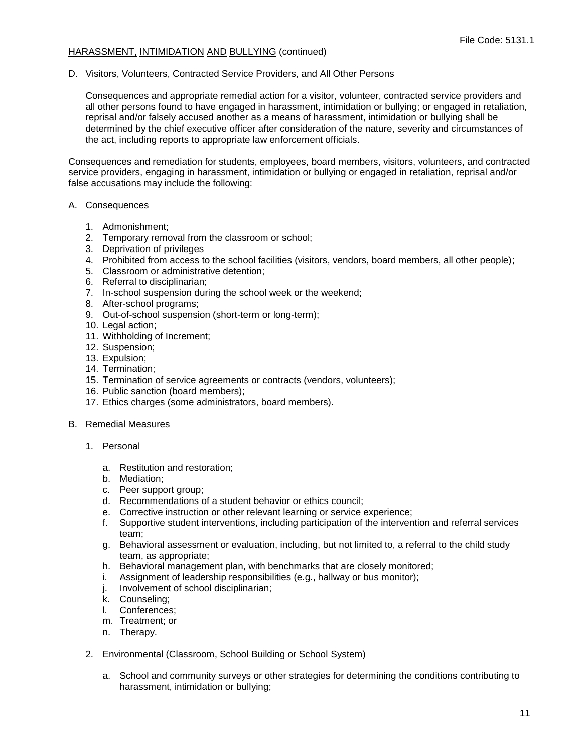D. Visitors, Volunteers, Contracted Service Providers, and All Other Persons

Consequences and appropriate remedial action for a visitor, volunteer, contracted service providers and all other persons found to have engaged in harassment, intimidation or bullying; or engaged in retaliation, reprisal and/or falsely accused another as a means of harassment, intimidation or bullying shall be determined by the chief executive officer after consideration of the nature, severity and circumstances of the act, including reports to appropriate law enforcement officials.

Consequences and remediation for students, employees, board members, visitors, volunteers, and contracted service providers, engaging in harassment, intimidation or bullying or engaged in retaliation, reprisal and/or false accusations may include the following:

- A. Consequences
	- 1. Admonishment;
	- 2. Temporary removal from the classroom or school;
	- 3. Deprivation of privileges
	- 4. Prohibited from access to the school facilities (visitors, vendors, board members, all other people);
	- 5. Classroom or administrative detention;
	- 6. Referral to disciplinarian;
	- 7. In-school suspension during the school week or the weekend;
	- 8. After-school programs;
	- 9. Out-of-school suspension (short-term or long-term);
	- 10. Legal action;
	- 11. Withholding of Increment;
	- 12. Suspension;
	- 13. Expulsion;
	- 14. Termination;
	- 15. Termination of service agreements or contracts (vendors, volunteers);
	- 16. Public sanction (board members);
	- 17. Ethics charges (some administrators, board members).
- B. Remedial Measures
	- 1. Personal
		- a. Restitution and restoration;
		- b. Mediation;
		- c. Peer support group;
		- d. Recommendations of a student behavior or ethics council;
		- e. Corrective instruction or other relevant learning or service experience;
		- f. Supportive student interventions, including participation of the intervention and referral services team;
		- g. Behavioral assessment or evaluation, including, but not limited to, a referral to the child study team, as appropriate;
		- h. Behavioral management plan, with benchmarks that are closely monitored;
		- i. Assignment of leadership responsibilities (e.g., hallway or bus monitor);
		- j. Involvement of school disciplinarian;
		- k. Counseling;
		- l. Conferences;
		- m. Treatment; or
		- n. Therapy.
	- 2. Environmental (Classroom, School Building or School System)
		- a. School and community surveys or other strategies for determining the conditions contributing to harassment, intimidation or bullying;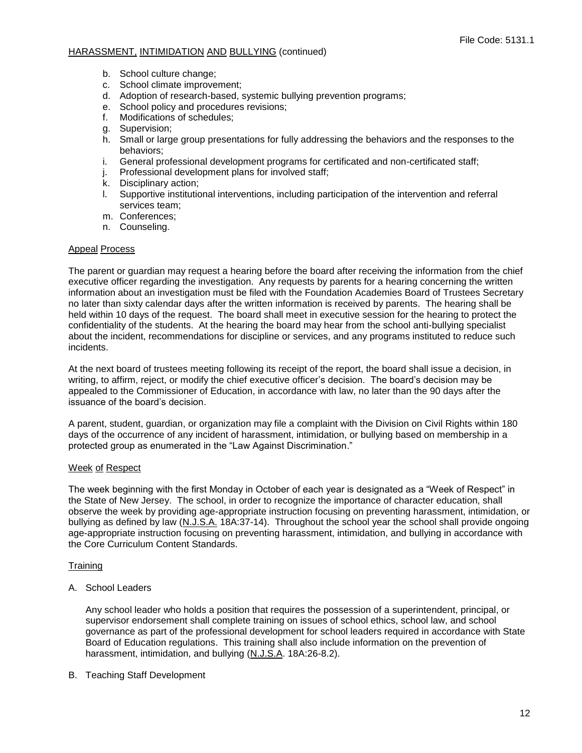- b. School culture change;
- c. School climate improvement;
- d. Adoption of research-based, systemic bullying prevention programs;
- e. School policy and procedures revisions;
- f. Modifications of schedules;
- g. Supervision;
- h. Small or large group presentations for fully addressing the behaviors and the responses to the behaviors;
- i. General professional development programs for certificated and non-certificated staff;
- j. Professional development plans for involved staff;
- k. Disciplinary action;
- l. Supportive institutional interventions, including participation of the intervention and referral services team;
- m. Conferences;
- n. Counseling.

#### Appeal Process

The parent or guardian may request a hearing before the board after receiving the information from the chief executive officer regarding the investigation. Any requests by parents for a hearing concerning the written information about an investigation must be filed with the Foundation Academies Board of Trustees Secretary no later than sixty calendar days after the written information is received by parents. The hearing shall be held within 10 days of the request. The board shall meet in executive session for the hearing to protect the confidentiality of the students. At the hearing the board may hear from the school anti-bullying specialist about the incident, recommendations for discipline or services, and any programs instituted to reduce such incidents.

At the next board of trustees meeting following its receipt of the report, the board shall issue a decision, in writing, to affirm, reject, or modify the chief executive officer's decision. The board's decision may be appealed to the Commissioner of Education, in accordance with law, no later than the 90 days after the issuance of the board's decision.

A parent, student, guardian, or organization may file a complaint with the Division on Civil Rights within 180 days of the occurrence of any incident of harassment, intimidation, or bullying based on membership in a protected group as enumerated in the "Law Against Discrimination."

### Week of Respect

The week beginning with the first Monday in October of each year is designated as a "Week of Respect" in the State of New Jersey. The school, in order to recognize the importance of character education, shall observe the week by providing age-appropriate instruction focusing on preventing harassment, intimidation, or bullying as defined by law (N.J.S.A. 18A:37-14). Throughout the school year the school shall provide ongoing age-appropriate instruction focusing on preventing harassment, intimidation, and bullying in accordance with the Core Curriculum Content Standards.

### **Training**

A. School Leaders

Any school leader who holds a position that requires the possession of a superintendent, principal, or supervisor endorsement shall complete training on issues of school ethics, school law, and school governance as part of the professional development for school leaders required in accordance with State Board of Education regulations. This training shall also include information on the prevention of harassment, intimidation, and bullying (N.J.S.A. 18A:26-8.2).

B. Teaching Staff Development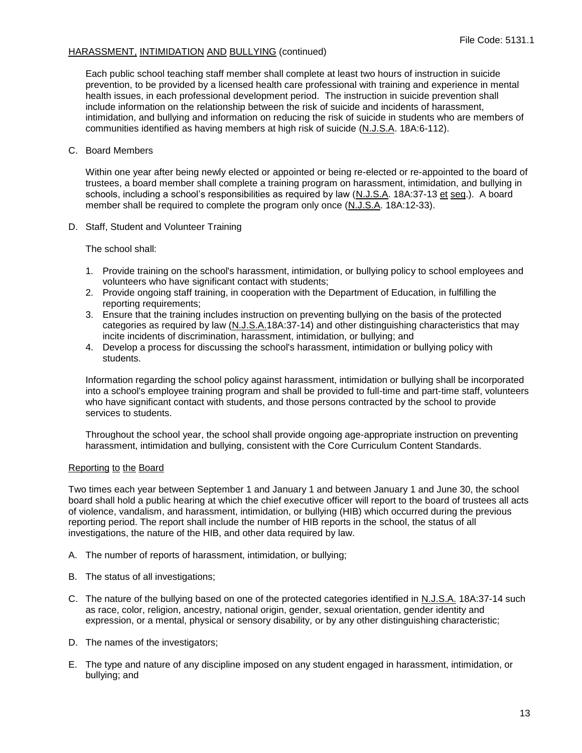Each public school teaching staff member shall complete at least two hours of instruction in suicide prevention, to be provided by a licensed health care professional with training and experience in mental health issues, in each professional development period. The instruction in suicide prevention shall include information on the relationship between the risk of suicide and incidents of harassment, intimidation, and bullying and information on reducing the risk of suicide in students who are members of communities identified as having members at high risk of suicide (N.J.S.A. 18A:6-112).

### C. Board Members

Within one year after being newly elected or appointed or being re-elected or re-appointed to the board of trustees, a board member shall complete a training program on harassment, intimidation, and bullying in schools, including a school's responsibilities as required by law (N.J.S.A. 18A:37-13 et seq.). A board member shall be required to complete the program only once (N.J.S.A. 18A:12-33).

D. Staff, Student and Volunteer Training

The school shall:

- 1. Provide training on the school's harassment, intimidation, or bullying policy to school employees and volunteers who have significant contact with students;
- 2. Provide ongoing staff training, in cooperation with the Department of Education, in fulfilling the reporting requirements;
- 3. Ensure that the training includes instruction on preventing bullying on the basis of the protected categories as required by law (N.J.S.A.18A:37-14) and other distinguishing characteristics that may incite incidents of discrimination, harassment, intimidation, or bullying; and
- 4. Develop a process for discussing the school's harassment, intimidation or bullying policy with students.

Information regarding the school policy against harassment, intimidation or bullying shall be incorporated into a school's employee training program and shall be provided to full-time and part-time staff, volunteers who have significant contact with students, and those persons contracted by the school to provide services to students.

Throughout the school year, the school shall provide ongoing age-appropriate instruction on preventing harassment, intimidation and bullying, consistent with the Core Curriculum Content Standards.

### Reporting to the Board

Two times each year between September 1 and January 1 and between January 1 and June 30, the school board shall hold a public hearing at which the chief executive officer will report to the board of trustees all acts of violence, vandalism, and harassment, intimidation, or bullying (HIB) which occurred during the previous reporting period. The report shall include the number of HIB reports in the school, the status of all investigations, the nature of the HIB, and other data required by law.

- A. The number of reports of harassment, intimidation, or bullying;
- B. The status of all investigations;
- C. The nature of the bullying based on one of the protected categories identified in N.J.S.A. 18A:37-14 such as race, color, religion, ancestry, national origin, gender, sexual orientation, gender identity and expression, or a mental, physical or sensory disability, or by any other distinguishing characteristic;
- D. The names of the investigators;
- E. The type and nature of any discipline imposed on any student engaged in harassment, intimidation, or bullying; and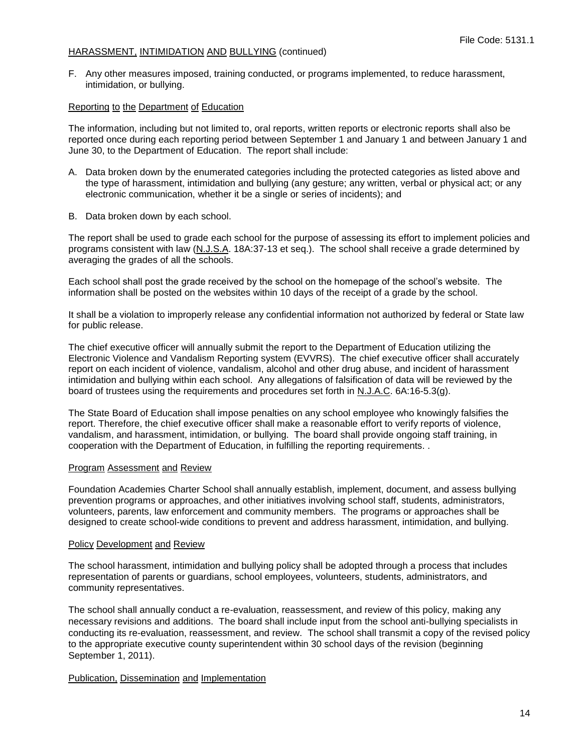F. Any other measures imposed, training conducted, or programs implemented, to reduce harassment, intimidation, or bullying.

#### Reporting to the Department of Education

The information, including but not limited to, oral reports, written reports or electronic reports shall also be reported once during each reporting period between September 1 and January 1 and between January 1 and June 30, to the Department of Education. The report shall include:

- A. Data broken down by the enumerated categories including the protected categories as listed above and the type of harassment, intimidation and bullying (any gesture; any written, verbal or physical act; or any electronic communication, whether it be a single or series of incidents); and
- B. Data broken down by each school.

The report shall be used to grade each school for the purpose of assessing its effort to implement policies and programs consistent with law (N.J.S.A. 18A:37-13 et seq.). The school shall receive a grade determined by averaging the grades of all the schools.

Each school shall post the grade received by the school on the homepage of the school's website. The information shall be posted on the websites within 10 days of the receipt of a grade by the school.

It shall be a violation to improperly release any confidential information not authorized by federal or State law for public release.

The chief executive officer will annually submit the report to the Department of Education utilizing the Electronic Violence and Vandalism Reporting system (EVVRS). The chief executive officer shall accurately report on each incident of violence, vandalism, alcohol and other drug abuse, and incident of harassment intimidation and bullying within each school. Any allegations of falsification of data will be reviewed by the board of trustees using the requirements and procedures set forth in N.J.A.C. 6A:16-5.3(g).

The State Board of Education shall impose penalties on any school employee who knowingly falsifies the report. Therefore, the chief executive officer shall make a reasonable effort to verify reports of violence, vandalism, and harassment, intimidation, or bullying. The board shall provide ongoing staff training, in cooperation with the Department of Education, in fulfilling the reporting requirements. .

#### Program Assessment and Review

Foundation Academies Charter School shall annually establish, implement, document, and assess bullying prevention programs or approaches, and other initiatives involving school staff, students, administrators, volunteers, parents, law enforcement and community members. The programs or approaches shall be designed to create school-wide conditions to prevent and address harassment, intimidation, and bullying.

#### Policy Development and Review

The school harassment, intimidation and bullying policy shall be adopted through a process that includes representation of parents or guardians, school employees, volunteers, students, administrators, and community representatives.

The school shall annually conduct a re-evaluation, reassessment, and review of this policy, making any necessary revisions and additions. The board shall include input from the school anti-bullying specialists in conducting its re-evaluation, reassessment, and review. The school shall transmit a copy of the revised policy to the appropriate executive county superintendent within 30 school days of the revision (beginning September 1, 2011).

### Publication, Dissemination and Implementation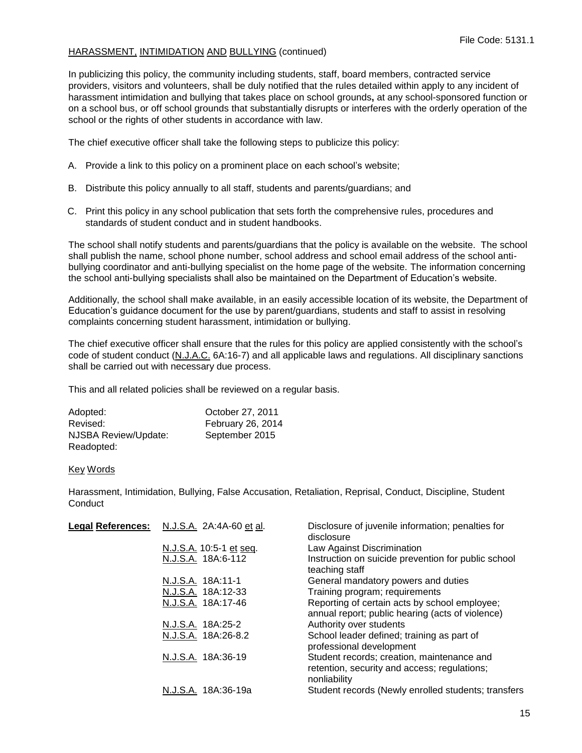In publicizing this policy, the community including students, staff, board members, contracted service providers, visitors and volunteers, shall be duly notified that the rules detailed within apply to any incident of harassment intimidation and bullying that takes place on school grounds**,** at any school-sponsored function or on a school bus, or off school grounds that substantially disrupts or interferes with the orderly operation of the school or the rights of other students in accordance with law.

The chief executive officer shall take the following steps to publicize this policy:

- A. Provide a link to this policy on a prominent place on each school's website;
- B. Distribute this policy annually to all staff, students and parents/guardians; and
- C. Print this policy in any school publication that sets forth the comprehensive rules, procedures and standards of student conduct and in student handbooks.

The school shall notify students and parents/guardians that the policy is available on the website. The school shall publish the name, school phone number, school address and school email address of the school antibullying coordinator and anti-bullying specialist on the home page of the website. The information concerning the school anti-bullying specialists shall also be maintained on the Department of Education's website.

Additionally, the school shall make available, in an easily accessible location of its website, the Department of Education's guidance document for the use by parent/guardians, students and staff to assist in resolving complaints concerning student harassment, intimidation or bullying.

The chief executive officer shall ensure that the rules for this policy are applied consistently with the school's code of student conduct (N.J.A.C. 6A:16-7) and all applicable laws and regulations. All disciplinary sanctions shall be carried out with necessary due process.

This and all related policies shall be reviewed on a regular basis.

| Adopted:             | October 27, 2011  |
|----------------------|-------------------|
| Revised:             | February 26, 2014 |
| NJSBA Review/Update: | September 2015    |
| Readopted:           |                   |

#### Key Words

Harassment, Intimidation, Bullying, False Accusation, Retaliation, Reprisal, Conduct, Discipline, Student **Conduct** 

| <b>Legal References:</b> | N.J.S.A. 2A:4A-60 et al. | Disclosure of juvenile information; penalties for<br>disclosure                                            |
|--------------------------|--------------------------|------------------------------------------------------------------------------------------------------------|
|                          | N.J.S.A. 10:5-1 et seq.  | Law Against Discrimination                                                                                 |
|                          | N.J.S.A. 18A:6-112       | Instruction on suicide prevention for public school<br>teaching staff                                      |
|                          | N.J.S.A. 18A:11-1        | General mandatory powers and duties                                                                        |
|                          | N.J.S.A. 18A:12-33       | Training program; requirements                                                                             |
|                          | N.J.S.A. 18A:17-46       | Reporting of certain acts by school employee;<br>annual report; public hearing (acts of violence)          |
|                          | N.J.S.A. 18A:25-2        | Authority over students                                                                                    |
|                          | N.J.S.A. 18A:26-8.2      | School leader defined; training as part of<br>professional development                                     |
|                          | N.J.S.A. 18A:36-19       | Student records; creation, maintenance and<br>retention, security and access; regulations;<br>nonliability |
|                          | N.J.S.A. 18A:36-19a      | Student records (Newly enrolled students; transfers                                                        |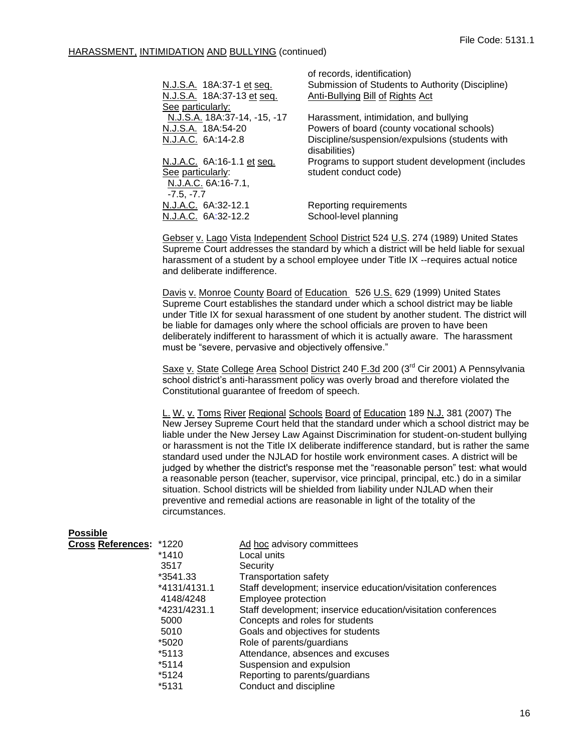|                              | of records, identification)                       |
|------------------------------|---------------------------------------------------|
| N.J.S.A. 18A:37-1 et seq.    | Submission of Students to Authority (Discipline)  |
| N.J.S.A. 18A:37-13 et seq.   | Anti-Bullying Bill of Rights Act                  |
| See particularly:            |                                                   |
| N.J.S.A. 18A:37-14, -15, -17 | Harassment, intimidation, and bullying            |
| N.J.S.A. 18A:54-20           | Powers of board (county vocational schools)       |
| N.J.A.C. 6A:14-2.8           | Discipline/suspension/expulsions (students with   |
|                              | disabilities)                                     |
| N.J.A.C. 6A:16-1.1 et seq.   | Programs to support student development (includes |
| See particularly:            | student conduct code)                             |
| N.J.A.C. 6A:16-7.1,          |                                                   |
| $-7.5, -7.7$                 |                                                   |
| N.J.A.C. 6A:32-12.1          | Reporting requirements                            |
| N.J.A.C. 6A:32-12.2          | School-level planning                             |
|                              |                                                   |

Gebser v. Lago Vista Independent School District 524 U.S. 274 (1989) United States Supreme Court addresses the standard by which a district will be held liable for sexual harassment of a student by a school employee under Title IX --requires actual notice and deliberate indifference.

Davis v. Monroe County Board of Education 526 U.S. 629 (1999) United States Supreme Court establishes the standard under which a school district may be liable under Title IX for sexual harassment of one student by another student. The district will be liable for damages only where the school officials are proven to have been deliberately indifferent to harassment of which it is actually aware. The harassment must be "severe, pervasive and objectively offensive."

Saxe v. State College Area School District 240 F.3d 200 (3<sup>rd</sup> Cir 2001) A Pennsylvania school district's anti-harassment policy was overly broad and therefore violated the Constitutional guarantee of freedom of speech.

L. W. v. Toms River Regional Schools Board of Education 189 N.J. 381 (2007) The New Jersey Supreme Court held that the standard under which a school district may be liable under the New Jersey Law Against Discrimination for student-on-student bullying or harassment is not the Title IX deliberate indifference standard, but is rather the same standard used under the NJLAD for hostile work environment cases. A district will be judged by whether the district's response met the "reasonable person" test: what would a reasonable person (teacher, supervisor, vice principal, principal, etc.) do in a similar situation. School districts will be shielded from liability under NJLAD when their preventive and remedial actions are reasonable in light of the totality of the circumstances.

| <b>Possible</b>         |              |                                                               |
|-------------------------|--------------|---------------------------------------------------------------|
| Cross References: *1220 |              | Ad hoc advisory committees                                    |
|                         | *1410        | Local units                                                   |
|                         | 3517         | Security                                                      |
|                         | *3541.33     | <b>Transportation safety</b>                                  |
|                         | *4131/4131.1 | Staff development; inservice education/visitation conferences |
|                         | 4148/4248    | Employee protection                                           |
|                         | *4231/4231.1 | Staff development; inservice education/visitation conferences |
|                         | 5000         | Concepts and roles for students                               |
|                         | 5010         | Goals and objectives for students                             |
|                         | *5020        | Role of parents/guardians                                     |
|                         | *5113        | Attendance, absences and excuses                              |
|                         | *5114        | Suspension and expulsion                                      |
|                         | *5124        | Reporting to parents/guardians                                |
|                         | *5131        | Conduct and discipline                                        |